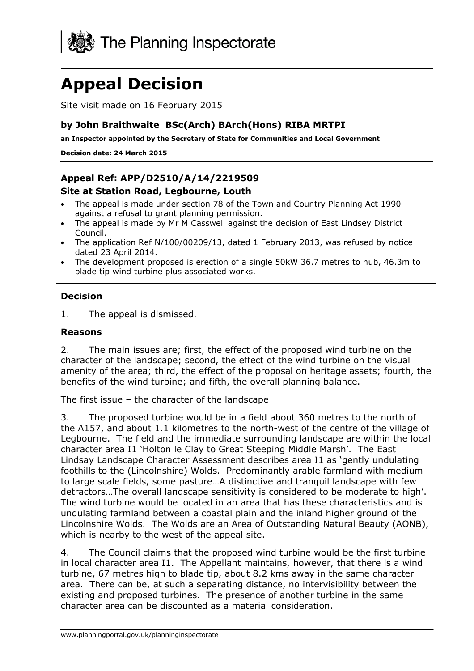

# **Appeal Decision**

Site visit made on 16 February 2015

#### **by John Braithwaite BSc(Arch) BArch(Hons) RIBA MRTPI**

**an Inspector appointed by the Secretary of State for Communities and Local Government** 

**Decision date: 24 March 2015** 

### **Appeal Ref: APP/D2510/A/14/2219509**

#### **Site at Station Road, Legbourne, Louth**

- The appeal is made under section 78 of the Town and Country Planning Act 1990 against a refusal to grant planning permission.
- The appeal is made by Mr M Casswell against the decision of East Lindsey District Council.
- The application Ref N/100/00209/13, dated 1 February 2013, was refused by notice dated 23 April 2014.
- The development proposed is erection of a single 50kW 36.7 metres to hub, 46.3m to blade tip wind turbine plus associated works.

#### **Decision**

1. The appeal is dismissed.

#### **Reasons**

2. The main issues are; first, the effect of the proposed wind turbine on the character of the landscape; second, the effect of the wind turbine on the visual amenity of the area; third, the effect of the proposal on heritage assets; fourth, the benefits of the wind turbine; and fifth, the overall planning balance.

The first issue – the character of the landscape

3. The proposed turbine would be in a field about 360 metres to the north of the A157, and about 1.1 kilometres to the north-west of the centre of the village of Legbourne. The field and the immediate surrounding landscape are within the local character area I1 'Holton le Clay to Great Steeping Middle Marsh'. The East Lindsay Landscape Character Assessment describes area I1 as 'gently undulating foothills to the (Lincolnshire) Wolds. Predominantly arable farmland with medium to large scale fields, some pasture…A distinctive and tranquil landscape with few detractors…The overall landscape sensitivity is considered to be moderate to high'. The wind turbine would be located in an area that has these characteristics and is undulating farmland between a coastal plain and the inland higher ground of the Lincolnshire Wolds. The Wolds are an Area of Outstanding Natural Beauty (AONB), which is nearby to the west of the appeal site.

4. The Council claims that the proposed wind turbine would be the first turbine in local character area I1. The Appellant maintains, however, that there is a wind turbine, 67 metres high to blade tip, about 8.2 kms away in the same character area. There can be, at such a separating distance, no intervisibility between the existing and proposed turbines. The presence of another turbine in the same character area can be discounted as a material consideration.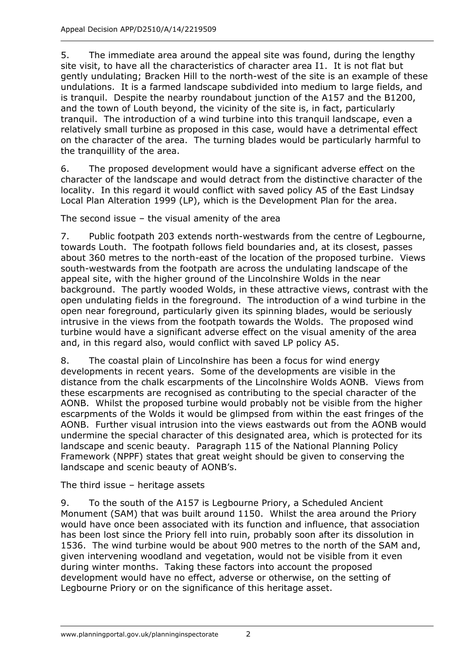5. The immediate area around the appeal site was found, during the lengthy site visit, to have all the characteristics of character area I1. It is not flat but gently undulating; Bracken Hill to the north-west of the site is an example of these undulations. It is a farmed landscape subdivided into medium to large fields, and is tranquil. Despite the nearby roundabout junction of the A157 and the B1200, and the town of Louth beyond, the vicinity of the site is, in fact, particularly tranquil. The introduction of a wind turbine into this tranquil landscape, even a relatively small turbine as proposed in this case, would have a detrimental effect on the character of the area. The turning blades would be particularly harmful to the tranquillity of the area.

6. The proposed development would have a significant adverse effect on the character of the landscape and would detract from the distinctive character of the locality. In this regard it would conflict with saved policy A5 of the East Lindsay Local Plan Alteration 1999 (LP), which is the Development Plan for the area.

The second issue – the visual amenity of the area

7. Public footpath 203 extends north-westwards from the centre of Legbourne, towards Louth. The footpath follows field boundaries and, at its closest, passes about 360 metres to the north-east of the location of the proposed turbine. Views south-westwards from the footpath are across the undulating landscape of the appeal site, with the higher ground of the Lincolnshire Wolds in the near background. The partly wooded Wolds, in these attractive views, contrast with the open undulating fields in the foreground. The introduction of a wind turbine in the open near foreground, particularly given its spinning blades, would be seriously intrusive in the views from the footpath towards the Wolds. The proposed wind turbine would have a significant adverse effect on the visual amenity of the area and, in this regard also, would conflict with saved LP policy A5.

8. The coastal plain of Lincolnshire has been a focus for wind energy developments in recent years. Some of the developments are visible in the distance from the chalk escarpments of the Lincolnshire Wolds AONB. Views from these escarpments are recognised as contributing to the special character of the AONB. Whilst the proposed turbine would probably not be visible from the higher escarpments of the Wolds it would be glimpsed from within the east fringes of the AONB. Further visual intrusion into the views eastwards out from the AONB would undermine the special character of this designated area, which is protected for its landscape and scenic beauty. Paragraph 115 of the National Planning Policy Framework (NPPF) states that great weight should be given to conserving the landscape and scenic beauty of AONB's.

The third issue – heritage assets

9. To the south of the A157 is Legbourne Priory, a Scheduled Ancient Monument (SAM) that was built around 1150. Whilst the area around the Priory would have once been associated with its function and influence, that association has been lost since the Priory fell into ruin, probably soon after its dissolution in 1536. The wind turbine would be about 900 metres to the north of the SAM and, given intervening woodland and vegetation, would not be visible from it even during winter months. Taking these factors into account the proposed development would have no effect, adverse or otherwise, on the setting of Legbourne Priory or on the significance of this heritage asset.